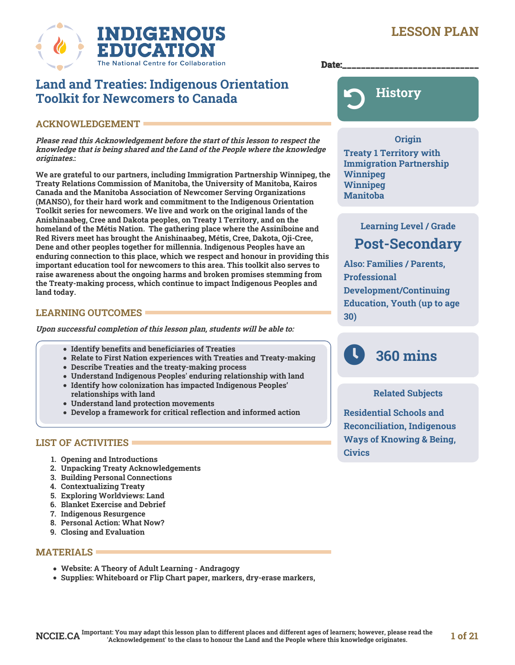# **LESSON PLAN**



Date:

# **Land and Treaties: Indigenous Orientation Toolkit for Newcomers to Canada**

# **ACKNOWLEDGEMENT**

**Please read this Acknowledgement before the start of this lesson to respect the knowledge that is being shared and the Land of the People where the knowledge originates.:**

**We are grateful to our partners, including Immigration Partnership Winnipeg, the Treaty Relations Commission of Manitoba, the University of Manitoba, Kairos Canada and the Manitoba Association of Newcomer Serving Organizations (MANSO), for their hard work and commitment to the Indigenous Orientation Toolkit series for newcomers. We live and work on the original lands of the Anishinaabeg, Cree and Dakota peoples, on Treaty 1 Territory, and on the homeland of the Métis Nation. The gathering place where the Assiniboine and Red Rivers meet has brought the Anishinaabeg, Métis, Cree, Dakota, Oji-Cree, Dene and other peoples together for millennia. Indigenous Peoples have an enduring connection to this place, which we respect and honour in providing this important education tool for newcomers to this area. This toolkit also serves to raise awareness about the ongoing harms and broken promises stemming from the Treaty-making process, which continue to impact Indigenous Peoples and land today.** 

# **LEARNING OUTCOMES**

**Upon successful completion of this lesson plan, students will be able to:**

- **Identify benefits and beneficiaries of Treaties**
- **Relate to First Nation experiences with Treaties and Treaty-making**
- **Describe Treaties and the treaty-making process**
- **Understand Indigenous Peoples' enduring relationship with land**
- **Identify how colonization has impacted Indigenous Peoples' relationships with land**
- **Understand land protection movements**
- **Develop a framework for critical reflection and informed action**

# **LIST OF ACTIVITIES**

- **1. Opening and Introductions**
- **2. Unpacking Treaty Acknowledgements**
- **3. Building Personal Connections**
- **4. Contextualizing Treaty**
- **5. Exploring Worldviews: Land**
- **6. Blanket Exercise and Debrief**
- **7. Indigenous Resurgence**
- **8. Personal Action: What Now?**
- **9. Closing and Evaluation**

# **MATERIALS**

- **Website: A Theory of Adult Learning Andragogy**
- **Supplies: Whiteboard or Flip Chart paper, markers, dry-erase markers,**



# **Origin**

**Treaty 1 Territory with Immigration Partnership Winnipeg Winnipeg Manitoba**

# **Learning Level / Grade Post-Secondary**

**Also: Families / Parents, Professional Development/Continuing Education, Youth (up to age 30)**

# **360 mins**

# **Related Subjects**

**Residential Schools and Reconciliation, Indigenous Ways of Knowing & Being, Civics**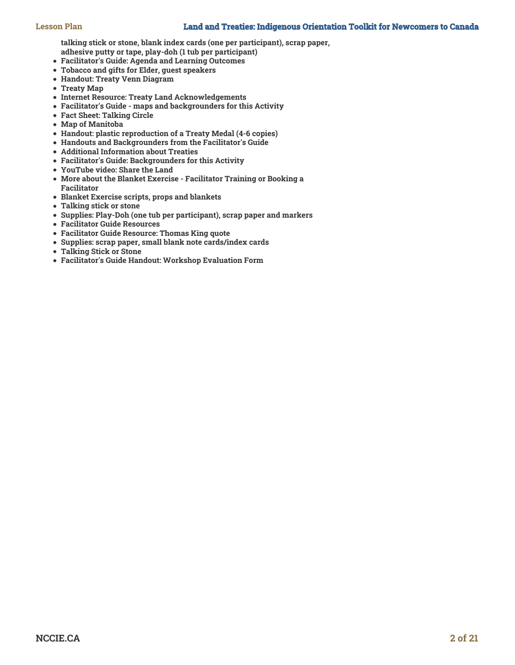**talking stick or stone, blank index cards (one per participant), scrap paper,**

- **adhesive putty or tape, play-doh (1 tub per participant)**
- **Facilitator's Guide: Agenda and Learning Outcomes**
- **Tobacco and gifts for Elder, guest speakers**
- **Handout: Treaty Venn Diagram**
- **Treaty Map**
- **Internet Resource: Treaty Land Acknowledgements**
- **Facilitator's Guide maps and backgrounders for this Activity**
- **Fact Sheet: Talking Circle**
- **Map of Manitoba**
- **Handout: plastic reproduction of a Treaty Medal (4-6 copies)**
- **Handouts and Backgrounders from the Facilitator's Guide**
- **Additional Information about Treaties**
- **Facilitator's Guide: Backgrounders for this Activity**
- **YouTube video: Share the Land**
- **More about the Blanket Exercise Facilitator Training or Booking a Facilitator**
- **Blanket Exercise scripts, props and blankets**
- **Talking stick or stone**
- **Supplies: Play-Doh (one tub per participant), scrap paper and markers**
- **Facilitator Guide Resources**
- **Facilitator Guide Resource: Thomas King quote**
- **Supplies: scrap paper, small blank note cards/index cards**
- **Talking Stick or Stone**
- **Facilitator's Guide Handout: Workshop Evaluation Form**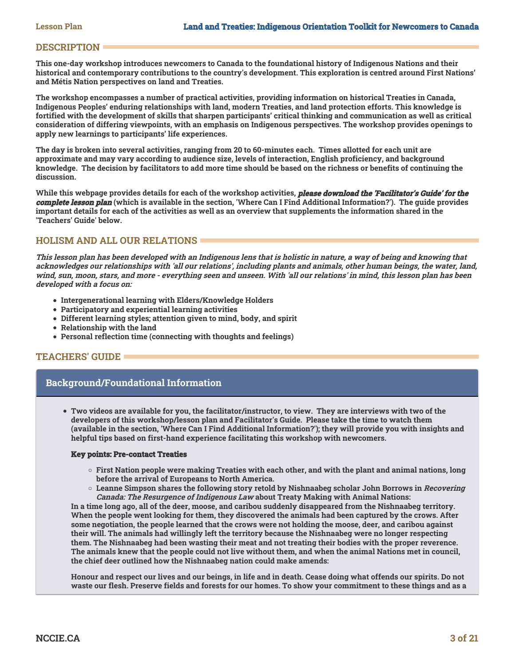# **DESCRIPTION**

**This one-day workshop introduces newcomers to Canada to the foundational history of Indigenous Nations and their historical and contemporary contributions to the country's development. This exploration is centred around First Nations' and Métis Nation perspectives on land and Treaties.** 

**The workshop encompasses a number of practical activities, providing information on historical Treaties in Canada, Indigenous Peoples' enduring relationships with land, modern Treaties, and land protection efforts. This knowledge is fortified with the development of skills that sharpen participants' critical thinking and communication as well as critical consideration of differing viewpoints, with an emphasis on Indigenous perspectives. The workshop provides openings to apply new learnings to participants' life experiences.**

**The day is broken into several activities, ranging from 20 to 60-minutes each. Times allotted for each unit are approximate and may vary according to audience size, levels of interaction, English proficiency, and background knowledge. The decision by facilitators to add more time should be based on the richness or benefits of continuing the discussion.**

**While this webpage provides details for each of the workshop activities, please download the 'Facilitator's Guide' for the complete lesson plan (which is available in the section, 'Where Can I Find Additional Information?'). The guide provides important details for each of the activities as well as an overview that supplements the information shared in the 'Teachers' Guide' below.** 

# **HOLISM AND ALL OUR RELATIONS**

**This lesson plan has been developed with an Indigenous lens that is holistic in nature, a way of being and knowing that acknowledges our relationships with 'all our relations', including plants and animals, other human beings, the water, land, wind, sun, moon, stars, and more - everything seen and unseen. With 'all our relations' in mind, this lesson plan has been developed with a focus on:**

- **Intergenerational learning with Elders/Knowledge Holders**
- **Participatory and experiential learning activities**
- **Different learning styles; attention given to mind, body, and spirit**
- **Relationship with the land**
- **Personal reflection time (connecting with thoughts and feelings)**

# **TEACHERS' GUIDE**

# **Background/Foundational Information**

**Two videos are available for you, the facilitator/instructor, to view. They are interviews with two of the developers of this workshop/lesson plan and Facilitator's Guide. Please take the time to watch them (available in the section, 'Where Can I Find Additional Information?'); they will provide you with insights and helpful tips based on first-hand experience facilitating this workshop with newcomers.**

# **Key points: Pre-contact Treaties**

- **First Nation people were making Treaties with each other, and with the plant and animal nations, long before the arrival of Europeans to North America.**
- $\circ$  Leanne Simpson shares the following story retold by Nishnaabeg scholar John Borrows in *Recovering* **Canada: The Resurgence of Indigenous Law about Treaty Making with Animal Nations:**

**In a time long ago, all of the deer, moose, and caribou suddenly disappeared from the Nishnaabeg territory. When the people went looking for them, they discovered the animals had been captured by the crows. After some negotiation, the people learned that the crows were not holding the moose, deer, and caribou against their will. The animals had willingly left the territory because the Nishnaabeg were no longer respecting them. The Nishnaabeg had been wasting their meat and not treating their bodies with the proper reverence. The animals knew that the people could not live without them, and when the animal Nations met in council, the chief deer outlined how the Nishnaabeg nation could make amends:**

**Honour and respect our lives and our beings, in life and in death. Cease doing what offends our spirits. Do not waste our flesh. Preserve fields and forests for our homes. To show your commitment to these things and as a**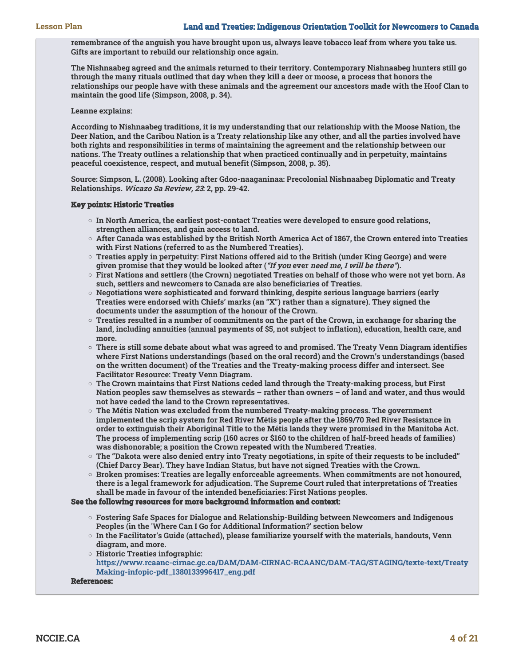**remembrance of the anguish you have brought upon us, always leave tobacco leaf from where you take us. Gifts are important to rebuild our relationship once again.**

**The Nishnaabeg agreed and the animals returned to their territory. Contemporary Nishnaabeg hunters still go through the many rituals outlined that day when they kill a deer or moose, a process that honors the relationships our people have with these animals and the agreement our ancestors made with the Hoof Clan to maintain the good life (Simpson, 2008, p. 34).**

#### **Leanne explains:**

**According to Nishnaabeg traditions, it is my understanding that our relationship with the Moose Nation, the Deer Nation, and the Caribou Nation is a Treaty relationship like any other, and all the parties involved have both rights and responsibilities in terms of maintaining the agreement and the relationship between our nations. The Treaty outlines a relationship that when practiced continually and in perpetuity, maintains peaceful coexistence, respect, and mutual benefit (Simpson, 2008, p. 35).**

**Source: Simpson, L. (2008). Looking after Gdoo-naaganinaa: Precolonial Nishnaabeg Diplomatic and Treaty Relationships. Wicazo Sa Review, 23: 2, pp. 29-42.**

#### **Key points: Historic Treaties**

- **In North America, the earliest post-contact Treaties were developed to ensure good relations, strengthen alliances, and gain access to land.**
- **After Canada was established by the British North America Act of 1867, the Crown entered into Treaties with First Nations (referred to as the Numbered Treaties).**
- **Treaties apply in perpetuity: First Nations offered aid to the British (under King George) and were given promise that they would be looked after ("If you ever need me, I will be there").**
- **First Nations and settlers (the Crown) negotiated Treaties on behalf of those who were not yet born. As such, settlers and newcomers to Canada are also beneficiaries of Treaties.**
- **Negotiations were sophisticated and forward thinking, despite serious language barriers (early Treaties were endorsed with Chiefs' marks (an "X") rather than a signature). They signed the documents under the assumption of the honour of the Crown.**
- **Treaties resulted in a number of commitments on the part of the Crown, in exchange for sharing the land, including annuities (annual payments of \$5, not subject to inflation), education, health care, and more.**
- **There is still some debate about what was agreed to and promised. The Treaty Venn Diagram identifies where First Nations understandings (based on the oral record) and the Crown's understandings (based on the written document) of the Treaties and the Treaty-making process differ and intersect. See Facilitator Resource: Treaty Venn Diagram.**
- **The Crown maintains that First Nations ceded land through the Treaty-making process, but First Nation peoples saw themselves as stewards – rather than owners – of land and water, and thus would not have ceded the land to the Crown representatives.**
- **The Métis Nation was excluded from the numbered Treaty-making process. The government implemented the scrip system for Red River Métis people after the 1869/70 Red River Resistance in order to extinguish their Aboriginal Title to the Métis lands they were promised in the Manitoba Act. The process of implementing scrip (160 acres or \$160 to the children of half-breed heads of families) was dishonorable; a position the Crown repeated with the Numbered Treaties.**
- **The "Dakota were also denied entry into Treaty negotiations, in spite of their requests to be included" (Chief Darcy Bear). They have Indian Status, but have not signed Treaties with the Crown.**
- **Broken promises: Treaties are legally enforceable agreements. When commitments are not honoured, there is a legal framework for adjudication. The Supreme Court ruled that interpretations of Treaties shall be made in favour of the intended beneficiaries: First Nations peoples.**

# **See the following resources for more background information and context:**

- **Fostering Safe Spaces for Dialogue and Relationship-Building between Newcomers and Indigenous Peoples (in the 'Where Can I Go for Additional Information?' section below**
- **In the Facilitator's Guide (attached), please familiarize yourself with the materials, handouts, Venn diagram, and more.**
- **Historic Treaties infographic: [https://www.rcaanc-cirnac.gc.ca/DAM/DAM-CIRNAC-RCAANC/DAM-TAG/STAGING/texte-text/Treaty](https://www.rcaanc-cirnac.gc.ca/DAM/DAM-CIRNAC-RCAANC/DAM-TAG/STAGING/texte-text/treatyMaking-infopic-pdf_1380133996417_eng.pdf) [Making-infopic-pdf\\_1380133996417\\_eng.pdf](https://www.rcaanc-cirnac.gc.ca/DAM/DAM-CIRNAC-RCAANC/DAM-TAG/STAGING/texte-text/treatyMaking-infopic-pdf_1380133996417_eng.pdf)**

**References:**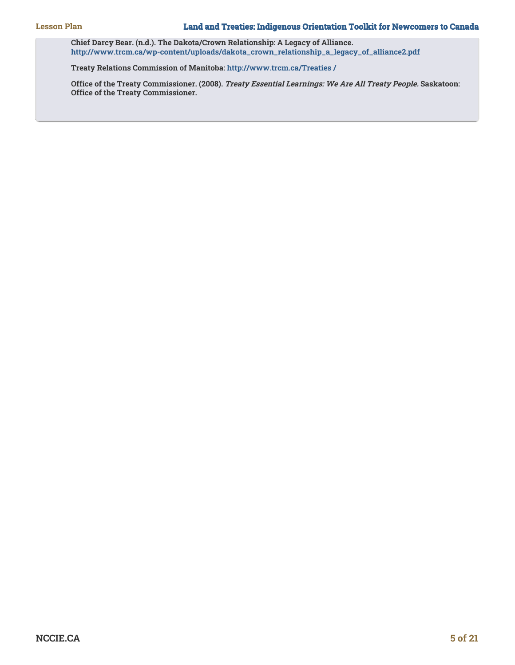**Chief Darcy Bear. (n.d.). The Dakota/Crown Relationship: A Legacy of Alliance. [http://www.trcm.ca/wp-content/uploads/dakota\\_crown\\_relationship\\_a\\_legacy\\_of\\_alliance2.pdf](http://www.trcm.ca/wp-content/uploads/dakota_crown_relationship_a_legacy_of_alliance2.pdf)**

**Treaty Relations Commission of Manitoba: [http://www.trcm.ca/Treaties /](http://www.trcm.ca/treaties/)**

**Office of the Treaty Commissioner. (2008). Treaty Essential Learnings: We Are All Treaty People. Saskatoon: Office of the Treaty Commissioner.**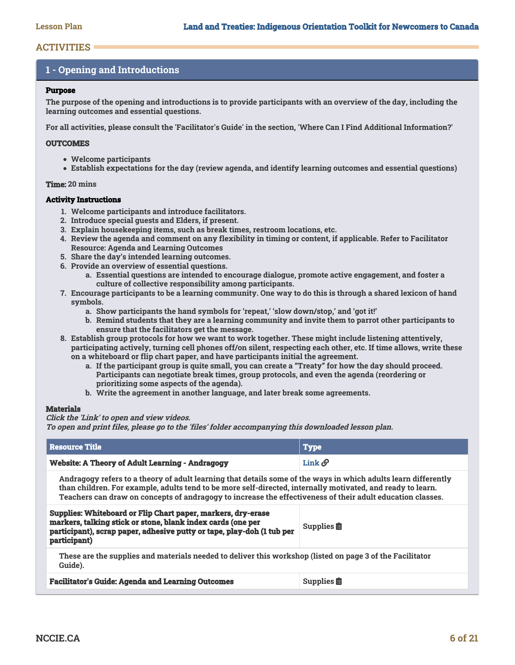# **ACTIVITIES**

# **1 - Opening and Introductions**

# **Purpose**

**The purpose of the opening and introductions is to provide participants with an overview of the day, including the learning outcomes and essential questions.**

**For all activities, please consult the 'Facilitator's Guide' in the section, 'Where Can I Find Additional Information?'**

# **OUTCOMES**

- **Welcome participants**
- **Establish expectations for the day (review agenda, and identify learning outcomes and essential questions)**

# **Time: 20 mins**

# **Activity Instructions**

- **1. Welcome participants and introduce facilitators.**
- **2. Introduce special guests and Elders, if present.**
- **3. Explain housekeeping items, such as break times, restroom locations, etc.**
- **4. Review the agenda and comment on any flexibility in timing or content, if applicable. Refer to Facilitator Resource: Agenda and Learning Outcomes**
- **5. Share the day's intended learning outcomes.**
- **6. Provide an overview of essential questions.**
	- **a. Essential questions are intended to encourage dialogue, promote active engagement, and foster a culture of collective responsibility among participants.**
- **7. Encourage participants to be a learning community. One way to do this is through a shared lexicon of hand symbols.**
	- **a. Show participants the hand symbols for 'repeat,' 'slow down/stop,' and 'got it!'**
	- **b. Remind students that they are a learning community and invite them to parrot other participants to ensure that the facilitators get the message.**
- **8. Establish group protocols for how we want to work together. These might include listening attentively, participating actively, turning cell phones off/on silent, respecting each other, etc. If time allows, write these on a whiteboard or flip chart paper, and have participants initial the agreement.**
	- **a. If the participant group is quite small, you can create a "Treaty" for how the day should proceed. Participants can negotiate break times, group protocols, and even the agenda (reordering or prioritizing some aspects of the agenda).**
	- **b. Write the agreement in another language, and later break some agreements.**

# **Materials**

**Click the 'Link' to open and view videos.**

**To open and print files, please go to the 'files' folder accompanying this downloaded lesson plan.**

| <b>Resource Title</b>                                  | <b>Type</b> |
|--------------------------------------------------------|-------------|
| <b>Website: A Theory of Adult Learning - Andragogy</b> | Link o      |

**Andragogy refers to a theory of adult learning that details some of the ways in which adults learn differently than children. For example, adults tend to be more self-directed, internally motivated, and ready to learn. Teachers can draw on concepts of andragogy to increase the effectiveness of their adult education classes.**

| Supplies: Whiteboard or Flip Chart paper, markers, dry-erase<br>markers, talking stick or stone, blank index cards (one per<br>participant), scrap paper, adhesive putty or tape, play-doh (1 tub per<br>participant) | Supplies $\hat{\mathbf{E}}$ |
|-----------------------------------------------------------------------------------------------------------------------------------------------------------------------------------------------------------------------|-----------------------------|
| These are the supplies and materials needed to deliver this workshop (listed on page 3 of the Facilitator                                                                                                             |                             |

**Guide).**

| <b>Facilitator's Guide: Agenda and Learning Outcomes</b> | <b>Supplies</b> |
|----------------------------------------------------------|-----------------|
|----------------------------------------------------------|-----------------|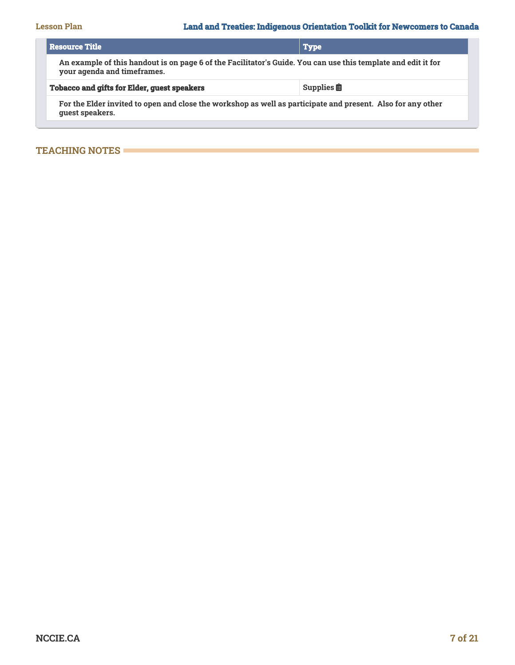| l Resource Title                                                                                                                             | Type                        |  |
|----------------------------------------------------------------------------------------------------------------------------------------------|-----------------------------|--|
| An example of this handout is on page 6 of the Facilitator's Guide. You can use this template and edit it for<br>your agenda and timeframes. |                             |  |
| <b>Tobacco and gifts for Elder, guest speakers</b>                                                                                           | Supplies $\hat{\mathbf{E}}$ |  |
| For the Elder invited to open and close the workshop as well as participate and present. Also for any other<br>quest speakers.               |                             |  |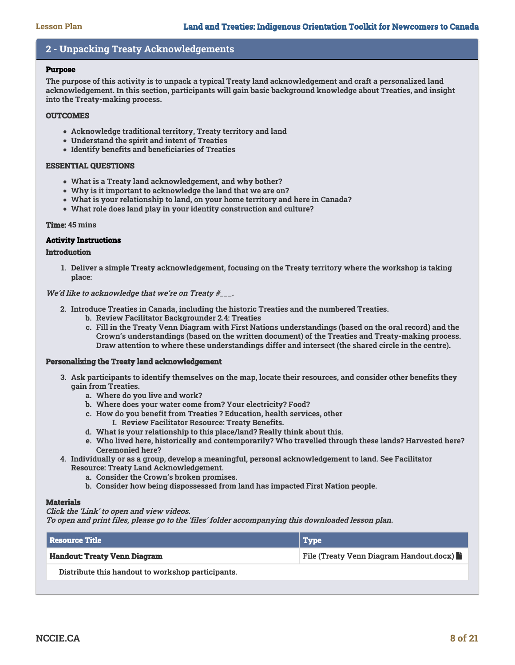# **2 - Unpacking Treaty Acknowledgements**

#### **Purpose**

**The purpose of this activity is to unpack a typical Treaty land acknowledgement and craft a personalized land acknowledgement. In this section, participants will gain basic background knowledge about Treaties, and insight into the Treaty-making process.**

# **OUTCOMES**

- **Acknowledge traditional territory, Treaty territory and land**
- **Understand the spirit and intent of Treaties**
- **Identify benefits and beneficiaries of Treaties**

# **ESSENTIAL QUESTIONS**

- **What is a Treaty land acknowledgement, and why bother?**
- **Why is it important to acknowledge the land that we are on?**
- **What is your relationship to land, on your home territory and here in Canada?**
- **What role does land play in your identity construction and culture?**

# **Time: 45 mins**

# **Activity Instructions**

# **Introduction**

**1. Deliver a simple Treaty acknowledgement, focusing on the Treaty territory where the workshop is taking place:**

**We'd like to acknowledge that we're on Treaty #\_\_\_.**

- **2. Introduce Treaties in Canada, including the historic Treaties and the numbered Treaties.**
	- **b. Review Facilitator Backgrounder 2.4: Treaties**
	- **c. Fill in the Treaty Venn Diagram with First Nations understandings (based on the oral record) and the Crown's understandings (based on the written document) of the Treaties and Treaty-making process. Draw attention to where these understandings differ and intersect (the shared circle in the centre).**

# **Personalizing the Treaty land acknowledgement**

- **3. Ask participants to identify themselves on the map, locate their resources, and consider other benefits they gain from Treaties.**
	- **a. Where do you live and work?**
	- **b. Where does your water come from? Your electricity? Food?**
	- **c. How do you benefit from Treaties ? Education, health services, other I. Review Facilitator Resource: Treaty Benefits.**
	- **d. What is your relationship to this place/land? Really think about this.**
	- **e. Who lived here, historically and contemporarily? Who travelled through these lands? Harvested here? Ceremonied here?**
- **4. Individually or as a group, develop a meaningful, personal acknowledgement to land. See Facilitator Resource: Treaty Land Acknowledgement.**
	- **a. Consider the Crown's broken promises.**
	- **b. Consider how being dispossessed from land has impacted First Nation people.**

# **Materials**

# **Click the 'Link' to open and view videos.**

**To open and print files, please go to the 'files' folder accompanying this downloaded lesson plan.**

| l Resource Title                                  | <b>Type</b>                                    |
|---------------------------------------------------|------------------------------------------------|
| <b>Handout: Treaty Venn Diagram</b>               | <b>File (Treaty Venn Diagram Handout.docx)</b> |
| Distribute this handout to workshop participants. |                                                |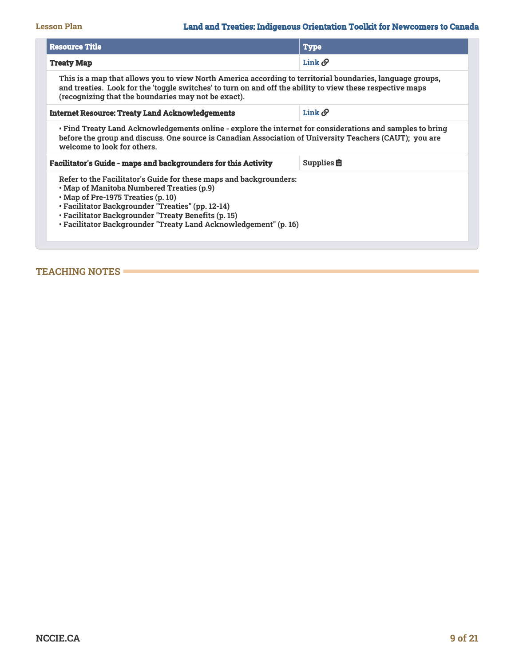# **Lesson Plan Land and Treaties: Indigenous Orientation Toolkit for Newcomers to Canada**

| <b>Resource Title</b>                                                                                                                                                                                                                                                                                                                 | <b>Type</b>                          |  |
|---------------------------------------------------------------------------------------------------------------------------------------------------------------------------------------------------------------------------------------------------------------------------------------------------------------------------------------|--------------------------------------|--|
| <b>Treaty Map</b>                                                                                                                                                                                                                                                                                                                     | Link $\mathcal O$                    |  |
| This is a map that allows you to view North America according to territorial boundaries, language groups,<br>and treaties. Look for the 'toggle switches' to turn on and off the ability to view these respective maps<br>(recognizing that the boundaries may not be exact).                                                         |                                      |  |
| <b>Internet Resource: Treaty Land Acknowledgements</b>                                                                                                                                                                                                                                                                                | Link $\mathcal O$                    |  |
| • Find Treaty Land Acknowledgements online - explore the internet for considerations and samples to bring<br>before the group and discuss. One source is Canadian Association of University Teachers (CAUT); you are<br>welcome to look for others.                                                                                   |                                      |  |
| <b>Facilitator's Guide - maps and backgrounders for this Activity</b>                                                                                                                                                                                                                                                                 | Supplies $\mathbf{\hat{\mathbb{E}}}$ |  |
| Refer to the Facilitator's Guide for these maps and backgrounders:<br>• Map of Manitoba Numbered Treaties (p.9)<br>• Map of Pre-1975 Treaties (p. 10)<br>• Facilitator Backgrounder "Treaties" (pp. 12-14)<br>• Facilitator Backgrounder "Treaty Benefits (p. 15)<br>• Facilitator Backgrounder "Treaty Land Acknowledgement" (p. 16) |                                      |  |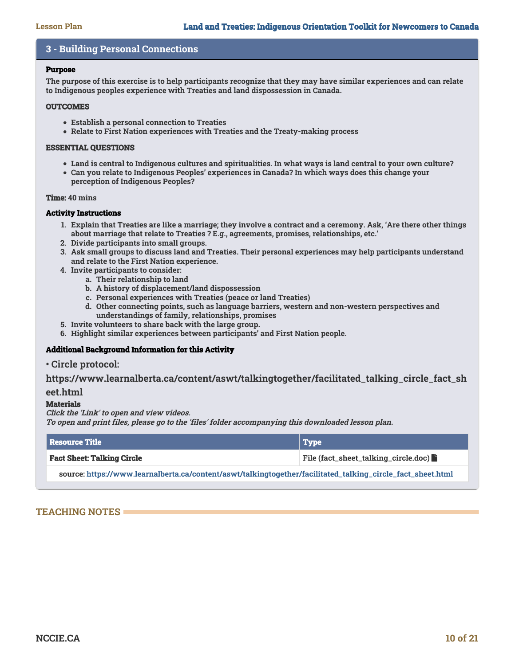# **3 - Building Personal Connections**

#### **Purpose**

**The purpose of this exercise is to help participants recognize that they may have similar experiences and can relate to Indigenous peoples experience with Treaties and land dispossession in Canada.**

#### **OUTCOMES**

- **Establish a personal connection to Treaties**
- **Relate to First Nation experiences with Treaties and the Treaty-making process**

#### **ESSENTIAL QUESTIONS**

- **Land is central to Indigenous cultures and spiritualities. In what ways is land central to your own culture?**
- **Can you relate to Indigenous Peoples' experiences in Canada? In which ways does this change your perception of Indigenous Peoples?**

#### **Time: 40 mins**

#### **Activity Instructions**

- **1. Explain that Treaties are like a marriage; they involve a contract and a ceremony. Ask, 'Are there other things about marriage that relate to Treaties ? E.g., agreements, promises, relationships, etc.'**
- **2. Divide participants into small groups.**
- **3. Ask small groups to discuss land and Treaties. Their personal experiences may help participants understand and relate to the First Nation experience.**
- **4. Invite participants to consider:**
	- **a. Their relationship to land**
	- **b. A history of displacement/land dispossession**
	- **c. Personal experiences with Treaties (peace or land Treaties)**
	- **d. Other connecting points, such as language barriers, western and non-western perspectives and understandings of family, relationships, promises**
- **5. Invite volunteers to share back with the large group.**
- **6. Highlight similar experiences between participants' and First Nation people.**

# **Additional Background Information for this Activity**

**• Circle protocol:**

**https://www.learnalberta.ca/content/aswt/talkingtogether/facilitated\_talking\_circle\_fact\_sh**

# **eet.html**

# **Materials**

**Click the 'Link' to open and view videos.**

**To open and print files, please go to the 'files' folder accompanying this downloaded lesson plan.**

| <b>Besource Title</b>                                                                                       | $ $ Type                                      |
|-------------------------------------------------------------------------------------------------------------|-----------------------------------------------|
| <b>Fact Sheet: Talking Circle</b>                                                                           | File (fact_sheet_talking_circle.doc) <b>h</b> |
| source: https://www.learnalberta.ca/content/aswt/talkingtogether/facilitated_talking_circle_fact_sheet.html |                                               |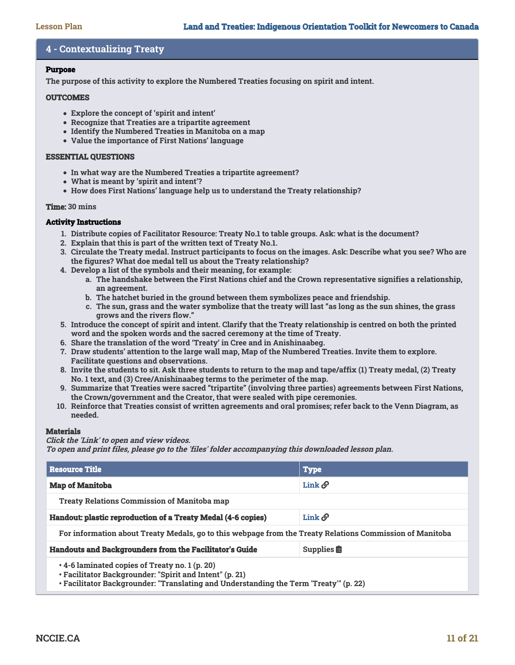# **4 - Contextualizing Treaty**

# **Purpose**

**The purpose of this activity to explore the Numbered Treaties focusing on spirit and intent.**

#### **OUTCOMES**

- **Explore the concept of 'spirit and intent'**
- **Recognize that Treaties are a tripartite agreement**
- **Identify the Numbered Treaties in Manitoba on a map**
- **Value the importance of First Nations' language**

# **ESSENTIAL QUESTIONS**

- **In what way are the Numbered Treaties a tripartite agreement?**
- **What is meant by 'spirit and intent'?**
- **How does First Nations' language help us to understand the Treaty relationship?**

#### **Time: 30 mins**

# **Activity Instructions**

- **1. Distribute copies of Facilitator Resource: Treaty No.1 to table groups. Ask: what is the document?**
- **2. Explain that this is part of the written text of Treaty No.1.**
- **3. Circulate the Treaty medal. Instruct participants to focus on the images. Ask: Describe what you see? Who are the figures? What doe medal tell us about the Treaty relationship?**
- **4. Develop a list of the symbols and their meaning, for example:**
	- **a. The handshake between the First Nations chief and the Crown representative signifies a relationship, an agreement.**
	- **b. The hatchet buried in the ground between them symbolizes peace and friendship.**
	- **c. The sun, grass and the water symbolize that the treaty will last "as long as the sun shines, the grass grows and the rivers flow."**
- **5. Introduce the concept of spirit and intent. Clarify that the Treaty relationship is centred on both the printed word and the spoken words and the sacred ceremony at the time of Treaty.**
- **6. Share the translation of the word 'Treaty' in Cree and in Anishinaabeg.**
- **7. Draw students' attention to the large wall map, Map of the Numbered Treaties. Invite them to explore. Facilitate questions and observations.**
- **8. Invite the students to sit. Ask three students to return to the map and tape/affix (1) Treaty medal, (2) Treaty No. 1 text, and (3) Cree/Anishinaabeg terms to the perimeter of the map.**
- **9. Summarize that Treaties were sacred "tripartite" (involving three parties) agreements between First Nations, the Crown/government and the Creator, that were sealed with pipe ceremonies.**
- **10. Reinforce that Treaties consist of written agreements and oral promises; refer back to the Venn Diagram, as needed.**

# **Materials**

**Click the 'Link' to open and view videos.**

**To open and print files, please go to the 'files' folder accompanying this downloaded lesson plan.**

| <b>Resource Title</b>                                                                                                                                                                                                                                                                                                                           | <b>Type</b>                 |  |
|-------------------------------------------------------------------------------------------------------------------------------------------------------------------------------------------------------------------------------------------------------------------------------------------------------------------------------------------------|-----------------------------|--|
| <b>Map of Manitoba</b>                                                                                                                                                                                                                                                                                                                          | Link $\mathcal O$           |  |
| <b>Treaty Relations Commission of Manitoba map</b>                                                                                                                                                                                                                                                                                              |                             |  |
| Handout: plastic reproduction of a Treaty Medal (4-6 copies)                                                                                                                                                                                                                                                                                    | Link $\mathcal O$           |  |
| For information about Treaty Medals, go to this webpage from the Treaty Relations Commission of Manitoba                                                                                                                                                                                                                                        |                             |  |
| <b>Handouts and Backgrounders from the Facilitator's Guide</b>                                                                                                                                                                                                                                                                                  | Supplies $\hat{\mathbf{E}}$ |  |
| $\cdot$ 4-6 laminated copies of Treaty no. 1 (p. 20)<br>• Facilitator Backgrounder: "Spirit and Intent" (p. 21)<br>. The distribution The classes are also as closed and a control of the control of the Control of the Control of the Control of the Control of the Control of the Control of the Control of the Control of the Control of the |                             |  |

**• Facilitator Backgrounder: "Translating and Understanding the Term 'Treaty'" (p. 22)**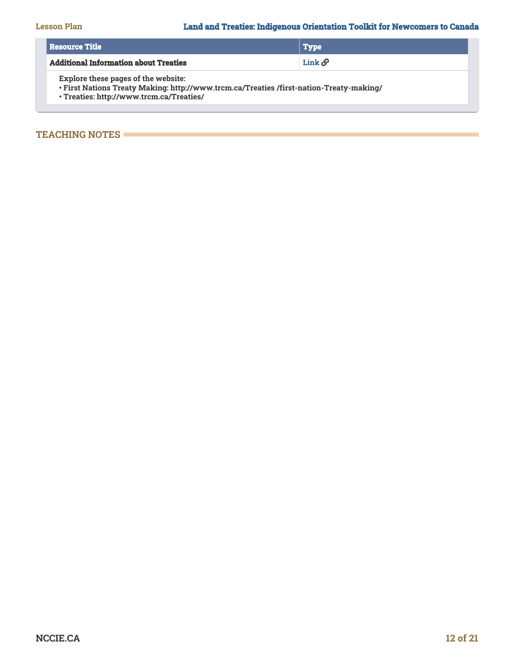| Resource Title                                                                                                                                                                    | Type                       |
|-----------------------------------------------------------------------------------------------------------------------------------------------------------------------------------|----------------------------|
| <b>Additional Information about Treaties</b>                                                                                                                                      | $\text{Link}\,\mathscr{O}$ |
| <b>Explore these pages of the website:</b><br>. First Nations Treaty Making: http://www.trcm.ca/Treaties /first-nation-Treaty-making/<br>· Treaties: http://www.trcm.ca/Treaties/ |                            |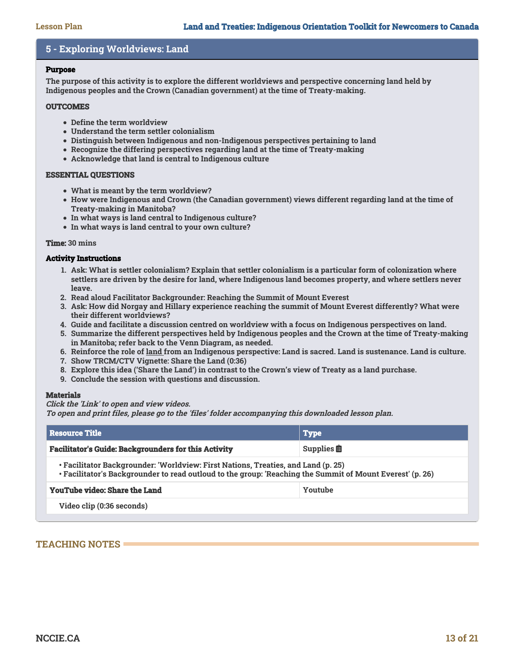# **5 - Exploring Worldviews: Land**

#### **Purpose**

**The purpose of this activity is to explore the different worldviews and perspective concerning land held by Indigenous peoples and the Crown (Canadian government) at the time of Treaty-making.**

#### **OUTCOMES**

- **Define the term worldview**
- **Understand the term settler colonialism**
- **Distinguish between Indigenous and non-Indigenous perspectives pertaining to land**
- **Recognize the differing perspectives regarding land at the time of Treaty-making**
- **Acknowledge that land is central to Indigenous culture**

# **ESSENTIAL QUESTIONS**

- **What is meant by the term worldview?**
- **How were Indigenous and Crown (the Canadian government) views different regarding land at the time of Treaty-making in Manitoba?**
- **In what ways is land central to Indigenous culture?**
- **In what ways is land central to your own culture?**

#### **Time: 30 mins**

# **Activity Instructions**

- **1. Ask: What is settler colonialism? Explain that settler colonialism is a particular form of colonization where settlers are driven by the desire for land, where Indigenous land becomes property, and where settlers never leave.**
- **2. Read aloud Facilitator Backgrounder: Reaching the Summit of Mount Everest**
- **3. Ask: How did Norgay and Hillary experience reaching the summit of Mount Everest differently? What were their different worldviews?**
- **4. Guide and facilitate a discussion centred on worldview with a focus on Indigenous perspectives on land.**
- **5. Summarize the different perspectives held by Indigenous peoples and the Crown at the time of Treaty-making in Manitoba; refer back to the Venn Diagram, as needed.**
- **6. Reinforce the role of land from an Indigenous perspective: Land is sacred. Land is sustenance. Land is culture.**
- **7. Show TRCM/CTV Vignette: Share the Land (0:36)**
- **8. Explore this idea ('Share the Land') in contrast to the Crown's view of Treaty as a land purchase.**
- **9. Conclude the session with questions and discussion.**

# **Materials**

#### **Click the 'Link' to open and view videos.**

**To open and print files, please go to the 'files' folder accompanying this downloaded lesson plan.**

| l Resource Title                                                                                                                                                                               | <b>Type</b>                 |  |
|------------------------------------------------------------------------------------------------------------------------------------------------------------------------------------------------|-----------------------------|--|
| <b>Facilitator's Guide: Backgrounders for this Activity</b>                                                                                                                                    | Supplies $\hat{\mathbf{E}}$ |  |
| • Facilitator Backgrounder: 'Worldview: First Nations, Treaties, and Land (p. 25)<br>• Facilitator's Backgrounder to read outloud to the group: 'Reaching the Summit of Mount Everest' (p. 26) |                             |  |
| <b>YouTube video: Share the Land</b>                                                                                                                                                           | Youtube                     |  |
| Video clip (0:36 seconds)                                                                                                                                                                      |                             |  |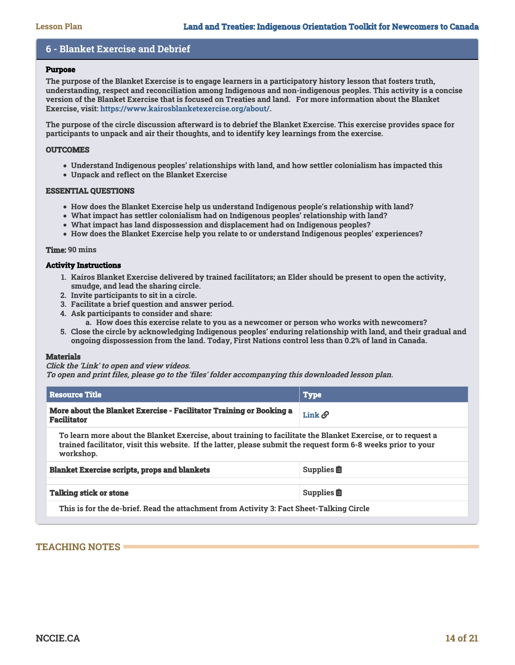# **6 - Blanket Exercise and Debrief**

#### **Purpose**

**The purpose of the Blanket Exercise is to engage learners in a participatory history lesson that fosters truth, understanding, respect and reconciliation among Indigenous and non-indigenous peoples. This activity is a concise version of the Blanket Exercise that is focused on Treaties and land. For more information about the Blanket Exercise, visit: [https://www.kairosblanketexercise.org/about/.](https://www.kairosblanketexercise.org/about/)**

**The purpose of the circle discussion afterward is to debrief the Blanket Exercise. This exercise provides space for participants to unpack and air their thoughts, and to identify key learnings from the exercise.**

# **OUTCOMES**

- **Understand Indigenous peoples' relationships with land, and how settler colonialism has impacted this**
- **Unpack and reflect on the Blanket Exercise**

#### **ESSENTIAL QUESTIONS**

- **How does the Blanket Exercise help us understand Indigenous people's relationship with land?**
- **What impact has settler colonialism had on Indigenous peoples' relationship with land?**
- **What impact has land dispossession and displacement had on Indigenous peoples?**
- **How does the Blanket Exercise help you relate to or understand Indigenous peoples' experiences?**

#### **Time: 90 mins**

#### **Activity Instructions**

- **1. Kairos Blanket Exercise delivered by trained facilitators; an Elder should be present to open the activity, smudge, and lead the sharing circle.**
- **2. Invite participants to sit in a circle.**
- **3. Facilitate a brief question and answer period.**
- **4. Ask participants to consider and share:**
	- **a. How does this exercise relate to you as a newcomer or person who works with newcomers?**
- **5. Close the circle by acknowledging Indigenous peoples' enduring relationship with land, and their gradual and ongoing dispossession from the land. Today, First Nations control less than 0.2% of land in Canada.**

#### **Materials**

#### **Click the 'Link' to open and view videos.**

**To open and print files, please go to the 'files' folder accompanying this downloaded lesson plan.**

| <b>Resource Title</b>                                                                                                                                                                                                                       | <b>Type</b>                 |  |
|---------------------------------------------------------------------------------------------------------------------------------------------------------------------------------------------------------------------------------------------|-----------------------------|--|
| <b>More about the Blanket Exercise - Facilitator Training or Booking a</b><br><b>Facilitator</b>                                                                                                                                            | Link $\mathcal O$           |  |
| To learn more about the Blanket Exercise, about training to facilitate the Blanket Exercise, or to request a<br>trained facilitator, visit this website. If the latter, please submit the request form 6-8 weeks prior to your<br>workshop. |                             |  |
| <b>Blanket Exercise scripts, props and blankets</b>                                                                                                                                                                                         | Supplies $\hat{\mathbf{E}}$ |  |
| <b>Talking stick or stone</b>                                                                                                                                                                                                               | Supplies $\hat{\mathbf{E}}$ |  |
| This is for the de-brief. Read the attachment from Activity 3: Fact Sheet-Talking Circle                                                                                                                                                    |                             |  |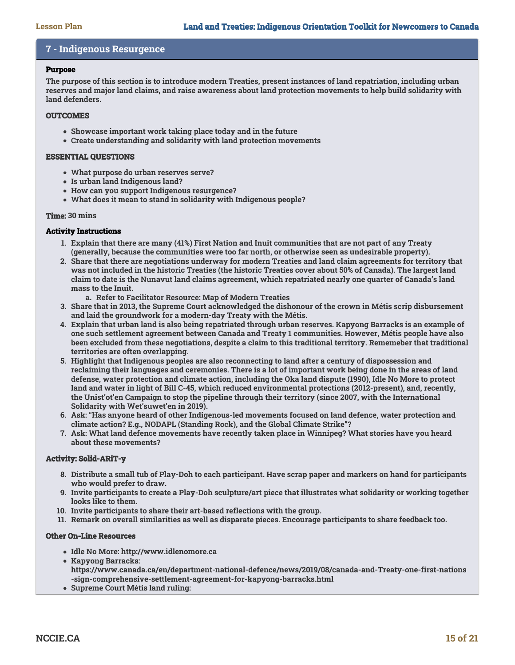# **7 - Indigenous Resurgence**

# **Purpose**

**The purpose of this section is to introduce modern Treaties, present instances of land repatriation, including urban reserves and major land claims, and raise awareness about land protection movements to help build solidarity with land defenders.** 

# **OUTCOMES**

- **Showcase important work taking place today and in the future**
- **Create understanding and solidarity with land protection movements**

# **ESSENTIAL QUESTIONS**

- **What purpose do urban reserves serve?**
- **Is urban land Indigenous land?**
- **How can you support Indigenous resurgence?**
- **What does it mean to stand in solidarity with Indigenous people?**

# **Time: 30 mins**

# **Activity Instructions**

- **1. Explain that there are many (41%) First Nation and Inuit communities that are not part of any Treaty (generally, because the communities were too far north, or otherwise seen as undesirable property).**
- **2. Share that there are negotiations underway for modern Treaties and land claim agreements for territory that was not included in the historic Treaties (the historic Treaties cover about 50% of Canada). The largest land claim to date is the Nunavut land claims agreement, which repatriated nearly one quarter of Canada's land mass to the Inuit.**
	- **a. Refer to Facilitator Resource: Map of Modern Treaties**
- **3. Share that in 2013, the Supreme Court acknowledged the dishonour of the crown in Métis scrip disbursement and laid the groundwork for a modern-day Treaty with the Métis.**
- **4. Explain that urban land is also being repatriated through urban reserves. Kapyong Barracks is an example of one such settlement agreement between Canada and Treaty 1 communities. However, Métis people have also been excluded from these negotiations, despite a claim to this traditional territory. Rememeber that traditional territories are often overlapping.**
- **5. Highlight that Indigenous peoples are also reconnecting to land after a century of dispossession and reclaiming their languages and ceremonies. There is a lot of important work being done in the areas of land defense, water protection and climate action, including the Oka land dispute (1990), Idle No More to protect land and water in light of Bill C-45, which reduced environmental protections (2012-present), and, recently, the Unist'ot'en Campaign to stop the pipeline through their territory (since 2007, with the International Solidarity with Wet'suwet'en in 2019).**
- **6. Ask: "Has anyone heard of other Indigenous-led movements focused on land defence, water protection and climate action? E.g., NODAPL (Standing Rock), and the Global Climate Strike"?**
- **7. Ask: What land defence movements have recently taken place in Winnipeg? What stories have you heard about these movements?**

# **Activity: Solid-ARiT-y**

- **8. Distribute a small tub of Play-Doh to each participant. Have scrap paper and markers on hand for participants who would prefer to draw.**
- **9. Invite participants to create a Play-Doh sculpture/art piece that illustrates what solidarity or working together looks like to them.**
- **10. Invite participants to share their art-based reflections with the group.**
- **11. Remark on overall similarities as well as disparate pieces. Encourage participants to share feedback too.**

# **Other On-Line Resources**

- **Idle No More: http://www.idlenomore.ca**
- **Kapyong Barracks:**
- **https://www.canada.ca/en/department-national-defence/news/2019/08/canada-and-Treaty-one-first-nations -sign-comprehensive-settlement-agreement-for-kapyong-barracks.html**
- **Supreme Court Métis land ruling:**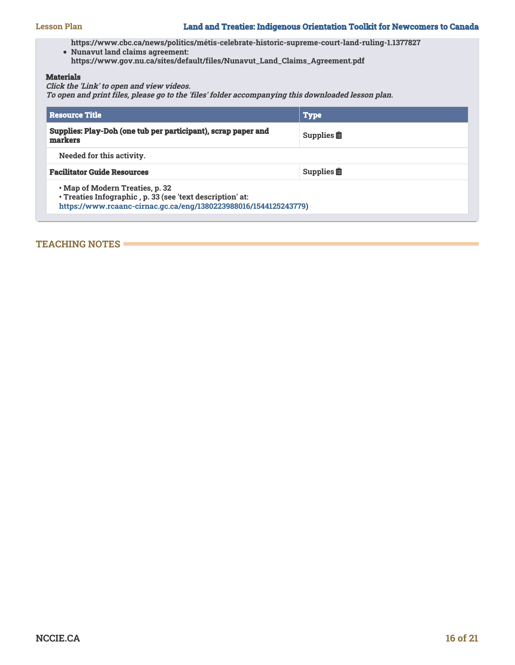**https://www.cbc.ca/news/politics/métis-celebrate-historic-supreme-court-land-ruling-1.1377827**

**Nunavut land claims agreement:**

**https://www.gov.nu.ca/sites/default/files/Nunavut\_Land\_Claims\_Agreement.pdf** 

# **Materials**

**Click the 'Link' to open and view videos.**

**To open and print files, please go to the 'files' folder accompanying this downloaded lesson plan.**

| <b>Resource Title</b>                                                                                                                                            | <b>Type</b>                    |  |
|------------------------------------------------------------------------------------------------------------------------------------------------------------------|--------------------------------|--|
| Supplies: Play-Doh (one tub per participant), scrap paper and<br>markers                                                                                         | Supplies $\mathbf{\mathbb{B}}$ |  |
| Needed for this activity.                                                                                                                                        |                                |  |
| <b>Facilitator Guide Resources</b>                                                                                                                               | Supplies $\mathbf{\mathbb{B}}$ |  |
| • Map of Modern Treaties, p. 32<br>· Treaties Infographic, p. 33 (see 'text description' at:<br>https://www.rcaanc-cirnac.gc.ca/eng/1380223988016/1544125243779) |                                |  |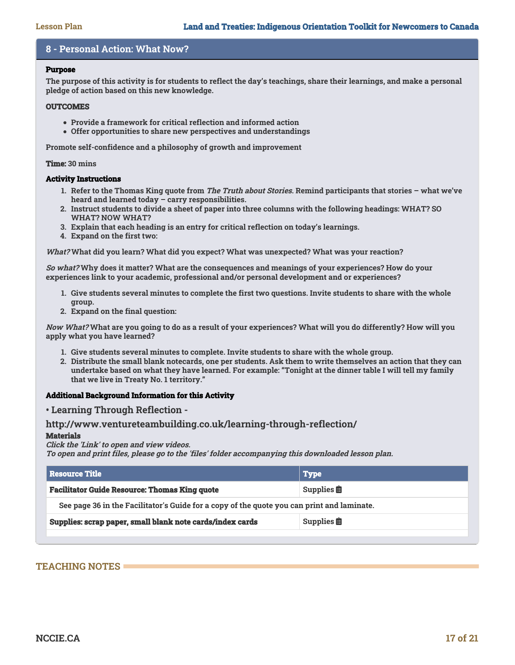# **8 - Personal Action: What Now?**

# **Purpose**

**The purpose of this activity is for students to reflect the day's teachings, share their learnings, and make a personal pledge of action based on this new knowledge.**

#### **OUTCOMES**

- **Provide a framework for critical reflection and informed action**
- **Offer opportunities to share new perspectives and understandings**

**Promote self-confidence and a philosophy of growth and improvement**

**Time: 30 mins**

#### **Activity Instructions**

- **1. Refer to the Thomas King quote from The Truth about Stories. Remind participants that stories what we've heard and learned today – carry responsibilities.**
- **2. Instruct students to divide a sheet of paper into three columns with the following headings: WHAT? SO WHAT? NOW WHAT?**
- **3. Explain that each heading is an entry for critical reflection on today's learnings.**
- **4. Expand on the first two:**

**What? What did you learn? What did you expect? What was unexpected? What was your reaction?**

**So what? Why does it matter? What are the consequences and meanings of your experiences? How do your experiences link to your academic, professional and/or personal development and or experiences?**

- **1. Give students several minutes to complete the first two questions. Invite students to share with the whole group.**
- **2. Expand on the final question:**

**Now What? What are you going to do as a result of your experiences? What will you do differently? How will you apply what you have learned?**

- **1. Give students several minutes to complete. Invite students to share with the whole group.**
- **2. Distribute the small blank notecards, one per students. Ask them to write themselves an action that they can undertake based on what they have learned. For example: "Tonight at the dinner table I will tell my family that we live in Treaty No. 1 territory."**

# **Additional Background Information for this Activity**

# **• Learning Through Reflection -**

# **http://www.ventureteambuilding.co.uk/learning-through-reflection/**

# **Materials**

# **Click the 'Link' to open and view videos.**

**To open and print files, please go to the 'files' folder accompanying this downloaded lesson plan.**

| Resource Title \                                                                           | <b>Type</b> |  |
|--------------------------------------------------------------------------------------------|-------------|--|
| <b>Facilitator Guide Resource: Thomas King quote</b><br>Supplies $\hat{\mathbf{E}}$        |             |  |
| See page 36 in the Facilitator's Guide for a copy of the quote you can print and laminate. |             |  |
| Supplies: scrap paper, small blank note cards/index cards<br>Supplies $\hat{\mathbf{E}}$   |             |  |
|                                                                                            |             |  |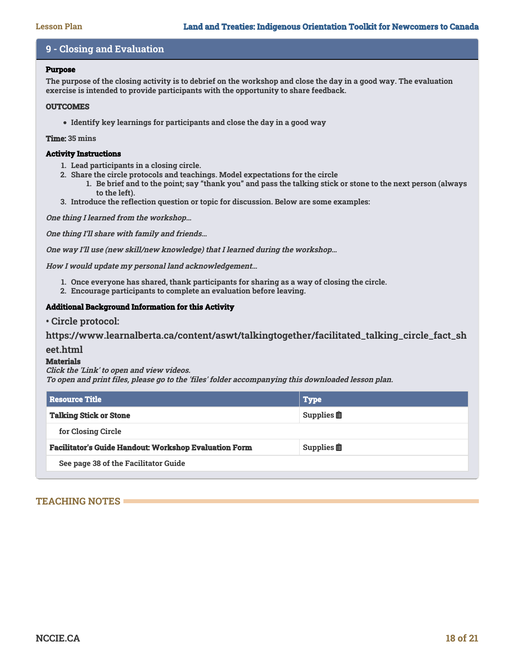# **9 - Closing and Evaluation**

# **Purpose**

**The purpose of the closing activity is to debrief on the workshop and close the day in a good way. The evaluation exercise is intended to provide participants with the opportunity to share feedback.**

# **OUTCOMES**

**Identify key learnings for participants and close the day in a good way**

# **Time: 35 mins**

# **Activity Instructions**

- **1. Lead participants in a closing circle.**
- **2. Share the circle protocols and teachings. Model expectations for the circle**
	- **1. Be brief and to the point; say "thank you" and pass the talking stick or stone to the next person (always to the left).**
- **3. Introduce the reflection question or topic for discussion. Below are some examples:**

**One thing I learned from the workshop…**

**One thing I'll share with family and friends…**

**One way I'll use (new skill/new knowledge) that I learned during the workshop…**

**How I would update my personal land acknowledgement…**

- **1. Once everyone has shared, thank participants for sharing as a way of closing the circle.**
- **2. Encourage participants to complete an evaluation before leaving.**

# **Additional Background Information for this Activity**

**• Circle protocol:**

**https://www.learnalberta.ca/content/aswt/talkingtogether/facilitated\_talking\_circle\_fact\_sh**

# **eet.html**

# **Materials**

**Click the 'Link' to open and view videos. To open and print files, please go to the 'files' folder accompanying this downloaded lesson plan.**

| <b>Resource Title</b>                                        | <b>Type</b>                 |  |
|--------------------------------------------------------------|-----------------------------|--|
| <b>Talking Stick or Stone</b>                                | Supplies $\hat{\mathbf{E}}$ |  |
| for Closing Circle                                           |                             |  |
| <b>Facilitator's Guide Handout: Workshop Evaluation Form</b> | Supplies $\hat{\mathbf{E}}$ |  |
| See page 38 of the Facilitator Guide                         |                             |  |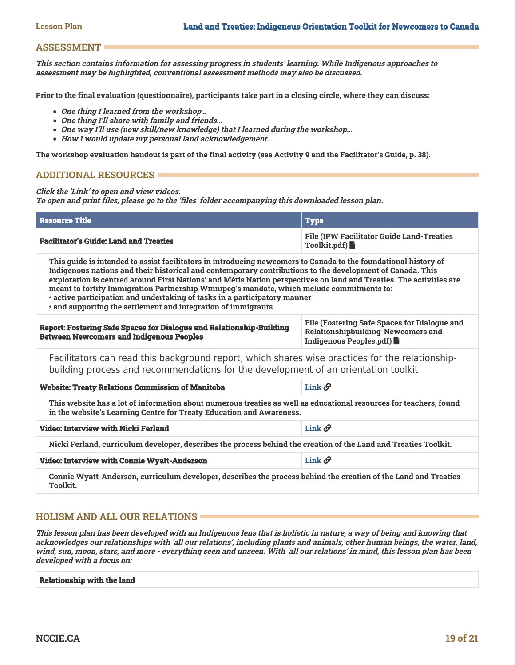# **ASSESSMENT**

**This section contains information for assessing progress in students' learning. While Indigenous approaches to assessment may be highlighted, conventional assessment methods may also be discussed.**

**Prior to the final evaluation (questionnaire), participants take part in a closing circle, where they can discuss:**

- **One thing I learned from the workshop…**
- **One thing I'll share with family and friends…**
- **One way I'll use (new skill/new knowledge) that I learned during the workshop…**
- **How I would update my personal land acknowledgement…**

**The workshop evaluation handout is part of the final activity (see Activity 9 and the Facilitator's Guide, p. 38).** 

# **ADDITIONAL RESOURCES**

**Click the 'Link' to open and view videos.**

**To open and print files, please go to the 'files' folder accompanying this downloaded lesson plan.**

| <b>Resource Title</b>                                                                                                                                                                                                                                                                                                                                                                                                                                                                                                                                                                            | <b>Type</b>                                                                                                          |  |
|--------------------------------------------------------------------------------------------------------------------------------------------------------------------------------------------------------------------------------------------------------------------------------------------------------------------------------------------------------------------------------------------------------------------------------------------------------------------------------------------------------------------------------------------------------------------------------------------------|----------------------------------------------------------------------------------------------------------------------|--|
| <b>Facilitator's Guide: Land and Treaties</b>                                                                                                                                                                                                                                                                                                                                                                                                                                                                                                                                                    | <b>File (IPW Facilitator Guide Land-Treaties</b><br>Toolkit.pdf                                                      |  |
| This guide is intended to assist facilitators in introducing newcomers to Canada to the foundational history of<br>Indigenous nations and their historical and contemporary contributions to the development of Canada. This<br>exploration is centred around First Nations' and Métis Nation perspectives on land and Treaties. The activities are<br>meant to fortify Immigration Partnership Winnipeg's mandate, which include commitments to:<br>· active participation and undertaking of tasks in a participatory manner<br>· and supporting the settlement and integration of immigrants. |                                                                                                                      |  |
| <b>Report: Fostering Safe Spaces for Dialogue and Relationship-Building</b><br><b>Between Newcomers and Indigenous Peoples</b>                                                                                                                                                                                                                                                                                                                                                                                                                                                                   | File (Fostering Safe Spaces for Dialogue and<br><b>Relationshipbuilding-Newcomers and</b><br>Indigenous Peoples.pdf) |  |
| Facilitators can read this background report, which shares wise practices for the relationship-<br>building process and recommendations for the development of an orientation toolkit                                                                                                                                                                                                                                                                                                                                                                                                            |                                                                                                                      |  |
| <b>Website: Treaty Relations Commission of Manitoba</b>                                                                                                                                                                                                                                                                                                                                                                                                                                                                                                                                          | $\text{Link}\,\mathscr{O}$                                                                                           |  |
| This website has a lot of information about numerous treaties as well as educational resources for teachers, found<br>in the website's Learning Centre for Treaty Education and Awareness.                                                                                                                                                                                                                                                                                                                                                                                                       |                                                                                                                      |  |
| Video: Interview with Nicki Ferland                                                                                                                                                                                                                                                                                                                                                                                                                                                                                                                                                              | $\text{Link}\,\mathscr{O}$                                                                                           |  |
| Nicki Ferland, curriculum developer, describes the process behind the creation of the Land and Treaties Toolkit.                                                                                                                                                                                                                                                                                                                                                                                                                                                                                 |                                                                                                                      |  |
| <b>Video: Interview with Connie Wyatt-Anderson</b>                                                                                                                                                                                                                                                                                                                                                                                                                                                                                                                                               | Link $\mathcal O$                                                                                                    |  |
| Connie Wyatt-Anderson, curriculum developer, describes the process behind the creation of the Land and Treaties<br>Toolkit.                                                                                                                                                                                                                                                                                                                                                                                                                                                                      |                                                                                                                      |  |

# **HOLISM AND ALL OUR RELATIONS**

**This lesson plan has been developed with an Indigenous lens that is holistic in nature, a way of being and knowing that acknowledges our relationships with 'all our relations', including plants and animals, other human beings, the water, land, wind, sun, moon, stars, and more - everything seen and unseen. With 'all our relations' in mind, this lesson plan has been developed with a focus on:**

#### **Relationship with the land**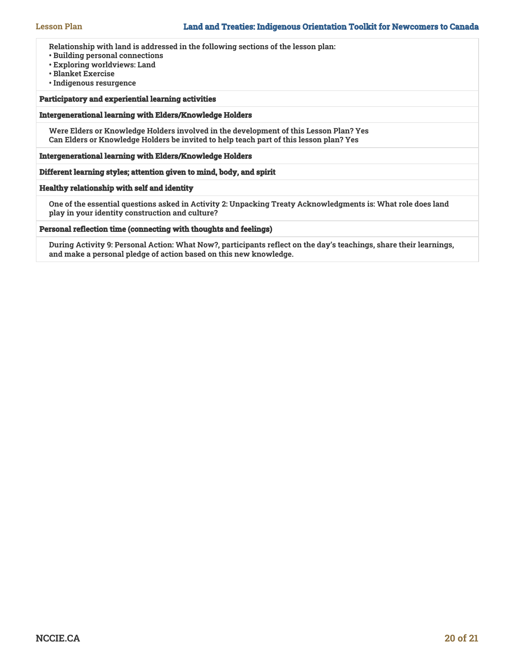**Relationship with land is addressed in the following sections of the lesson plan:**

- **Building personal connections**
- **Exploring worldviews: Land**
- **Blanket Exercise**
- **Indigenous resurgence**

# **Participatory and experiential learning activities**

#### **Intergenerational learning with Elders/Knowledge Holders**

**Were Elders or Knowledge Holders involved in the development of this Lesson Plan? Yes Can Elders or Knowledge Holders be invited to help teach part of this lesson plan? Yes**

#### **Intergenerational learning with Elders/Knowledge Holders**

# **Different learning styles; attention given to mind, body, and spirit**

#### **Healthy relationship with self and identity**

**One of the essential questions asked in Activity 2: Unpacking Treaty Acknowledgments is: What role does land play in your identity construction and culture?**

#### **Personal reflection time (connecting with thoughts and feelings)**

**During Activity 9: Personal Action: What Now?, participants reflect on the day's teachings, share their learnings, and make a personal pledge of action based on this new knowledge.**